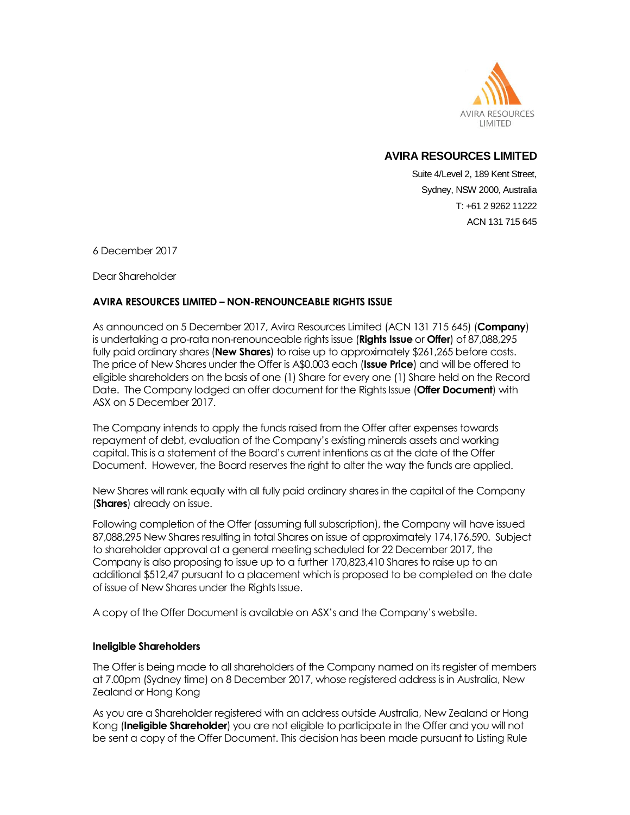

## **AVIRA RESOURCES LIMITED**

Suite 4/Level 2, 189 Kent Street, Sydney, NSW 2000, Australia T: +61 2 9262 11222 ACN 131 715 645

6 December 2017

Dear Shareholder

## **AVIRA RESOURCES LIMITED – NON-RENOUNCEABLE RIGHTS ISSUE**

As announced on 5 December 2017, Avira Resources Limited (ACN 131 715 645) (**Company**) is undertaking a pro-rata non-renounceable rights issue (**Rights Issue** or **Offer**) of 87,088,295 fully paid ordinary shares (**New Shares**) to raise up to approximately \$261,265 before costs. The price of New Shares under the Offer is A\$0.003 each (**Issue Price**) and will be offered to eligible shareholders on the basis of one (1) Share for every one (1) Share held on the Record Date. The Company lodged an offer document for the Rights Issue (**Offer Document**) with ASX on 5 December 2017.

The Company intends to apply the funds raised from the Offer after expenses towards repayment of debt, evaluation of the Company's existing minerals assets and working capital. This is a statement of the Board's current intentions as at the date of the Offer Document. However, the Board reserves the right to alter the way the funds are applied.

New Shares will rank equally with all fully paid ordinary shares in the capital of the Company (**Shares**) already on issue.

Following completion of the Offer (assuming full subscription), the Company will have issued 87,088,295 New Shares resulting in total Shares on issue of approximately 174,176,590. Subject to shareholder approval at a general meeting scheduled for 22 December 2017, the Company is also proposing to issue up to a further 170,823,410 Shares to raise up to an additional \$512,47 pursuant to a placement which is proposed to be completed on the date of issue of New Shares under the Rights Issue.

A copy of the Offer Document is available on ASX's and the Company's website.

## **Ineligible Shareholders**

The Offer is being made to all shareholders of the Company named on its register of members at 7.00pm (Sydney time) on 8 December 2017, whose registered address is in Australia, New Zealand or Hong Kong

As you are a Shareholder registered with an address outside Australia, New Zealand or Hong Kong (**Ineligible Shareholder**) you are not eligible to participate in the Offer and you will not be sent a copy of the Offer Document. This decision has been made pursuant to Listing Rule